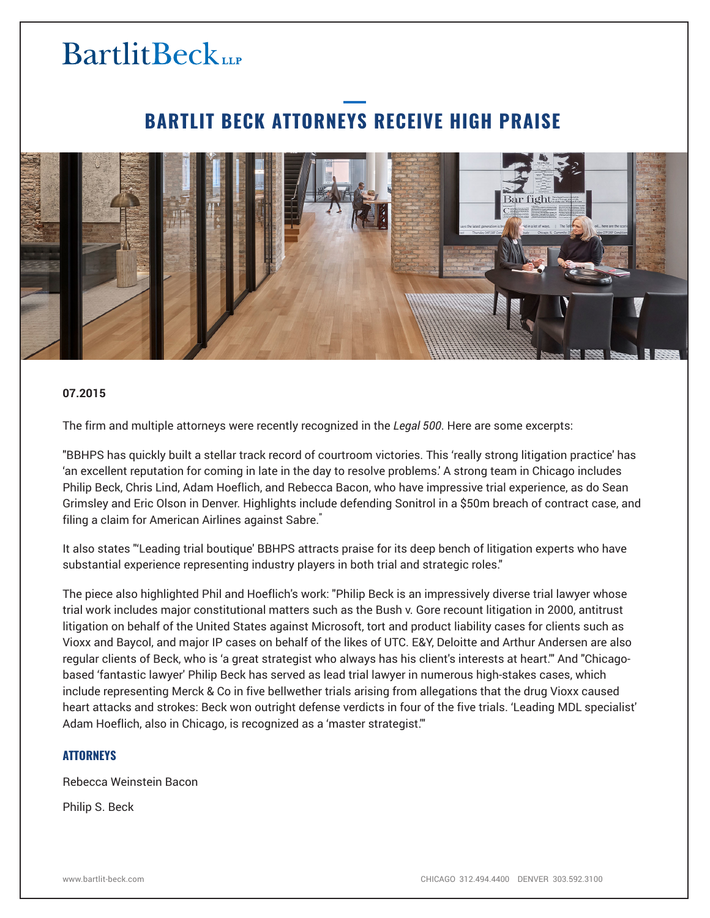# **BartlitBeck**LLP

### **BARTLIT BECK ATTORNEYS RECEIVE HIGH PRAISE**



#### **07.2015**

The firm and multiple attorneys were recently recognized in the *Legal 500*. Here are some excerpts:

"BBHPS has quickly built a stellar track record of courtroom victories. This 'really strong litigation practice' has 'an excellent reputation for coming in late in the day to resolve problems.' A strong team in Chicago includes Philip Beck, Chris Lind, Adam Hoeflich, and Rebecca Bacon, who have impressive trial experience, as do Sean Grimsley and Eric Olson in Denver. Highlights include defending Sonitrol in a \$50m breach of contract case, and filing a claim for American Airlines against Sabre."

It also states "'Leading trial boutique' BBHPS attracts praise for its deep bench of litigation experts who have substantial experience representing industry players in both trial and strategic roles."

The piece also highlighted Phil and Hoeflich's work: "Philip Beck is an impressively diverse trial lawyer whose trial work includes major constitutional matters such as the Bush v. Gore recount litigation in 2000, antitrust litigation on behalf of the United States against Microsoft, tort and product liability cases for clients such as Vioxx and Baycol, and major IP cases on behalf of the likes of UTC. E&Y, Deloitte and Arthur Andersen are also regular clients of Beck, who is 'a great strategist who always has his client's interests at heart.'" And "Chicagobased 'fantastic lawyer' Philip Beck has served as lead trial lawyer in numerous high-stakes cases, which include representing Merck & Co in five bellwether trials arising from allegations that the drug Vioxx caused heart attacks and strokes: Beck won outright defense verdicts in four of the five trials. 'Leading MDL specialist' Adam Hoeflich, also in Chicago, is recognized as a 'master strategist.'"

#### **ATTORNEYS**

Rebecca Weinstein Bacon

Philip S. Beck